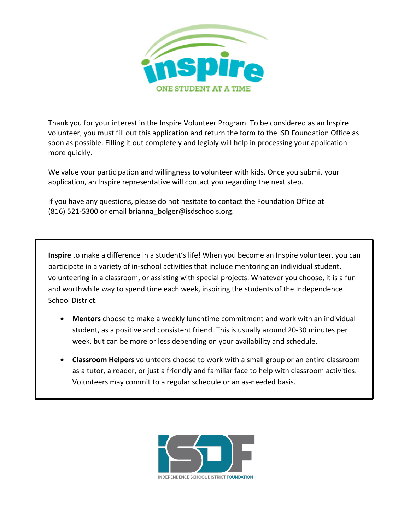

Thank you for your interest in the Inspire Volunteer Program. To be considered as an Inspire volunteer, you must fill out this application and return the form to the ISD Foundation Office as soon as possible. Filling it out completely and legibly will help in processing your application more quickly.

We value your participation and willingness to volunteer with kids. Once you submit your application, an Inspire representative will contact you regarding the next step.

If you have any questions, please do not hesitate to contact the Foundation Office at (816) 521-5300 or email [brianna\\_bolger@isdschools.org.](mailto:brianna_bolger@isdschools.org)

**Inspire** to make a difference in a student's life! When you become an Inspire volunteer, you can participate in a variety of in-school activities that include mentoring an individual student, volunteering in a classroom, or assisting with special projects. Whatever you choose, it is a fun and worthwhile way to spend time each week, inspiring the students of the Independence School District.

- **Mentors** choose to make a weekly lunchtime commitment and work with an individual student, as a positive and consistent friend. This is usually around 20-30 minutes per week, but can be more or less depending on your availability and schedule.
- **Classroom Helpers** volunteers choose to work with a small group or an entire classroom as a tutor, a reader, or just a friendly and familiar face to help with classroom activities. Volunteers may commit to a regular schedule or an as-needed basis.

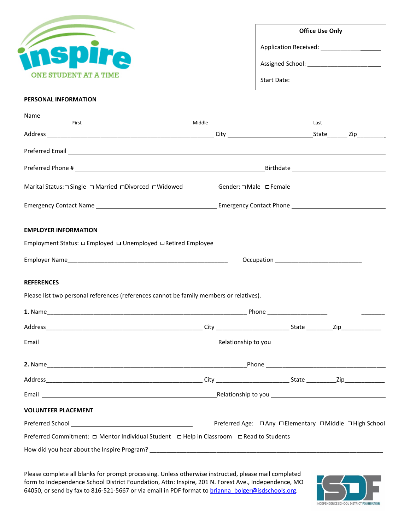| ONE STUDENT AT A TIME |  |  |
|-----------------------|--|--|

| <b>Office Use Only</b> |
|------------------------|
| Application Received:  |
| Assigned School:       |
| Start Date:            |

# **PERSONAL INFORMATION**

| First                                                                                                                                                                                                                          | Middle                                                   |  | Last |  |  |
|--------------------------------------------------------------------------------------------------------------------------------------------------------------------------------------------------------------------------------|----------------------------------------------------------|--|------|--|--|
|                                                                                                                                                                                                                                |                                                          |  |      |  |  |
|                                                                                                                                                                                                                                |                                                          |  |      |  |  |
|                                                                                                                                                                                                                                |                                                          |  |      |  |  |
| Marital Status:  □ Single □ Married □ Divorced □ Widowed                                                                                                                                                                       | Gender: □ Male □ Female                                  |  |      |  |  |
|                                                                                                                                                                                                                                |                                                          |  |      |  |  |
| <b>EMPLOYER INFORMATION</b>                                                                                                                                                                                                    |                                                          |  |      |  |  |
| Employment Status: □ Employed □ Unemployed □ Retired Employee                                                                                                                                                                  |                                                          |  |      |  |  |
|                                                                                                                                                                                                                                |                                                          |  |      |  |  |
| <b>REFERENCES</b>                                                                                                                                                                                                              |                                                          |  |      |  |  |
| Please list two personal references (references cannot be family members or relatives).                                                                                                                                        |                                                          |  |      |  |  |
|                                                                                                                                                                                                                                |                                                          |  |      |  |  |
|                                                                                                                                                                                                                                |                                                          |  |      |  |  |
| Email Email and the Contract of the Contract of the Contract of the Contract of the Contract of the Contract of the Contract of the Contract of the Contract of the Contract of the Contract of the Contract of the Contract o |                                                          |  |      |  |  |
|                                                                                                                                                                                                                                |                                                          |  |      |  |  |
|                                                                                                                                                                                                                                |                                                          |  |      |  |  |
|                                                                                                                                                                                                                                |                                                          |  |      |  |  |
| <b>VOLUNTEER PLACEMENT</b>                                                                                                                                                                                                     |                                                          |  |      |  |  |
|                                                                                                                                                                                                                                | Preferred Age: □ Any □ Elementary □ Middle □ High School |  |      |  |  |
| Preferred Commitment: □ Mentor Individual Student □ Help in Classroom □ Read to Students                                                                                                                                       |                                                          |  |      |  |  |
| How did you hear about the Inspire Program?                                                                                                                                                                                    |                                                          |  |      |  |  |

Please complete all blanks for prompt processing. Unless otherwise instructed, please mail completed form to Independence School District Foundation, Attn: Inspire, 201 N. Forest Ave., Independence, MO 64050, or send by fax to 816-521-5667 or via email in PDF format to brianna bolger@isdschools.org.